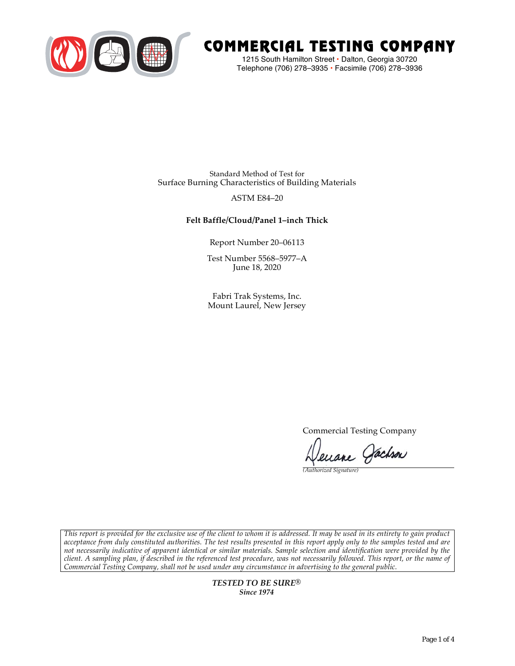

# COMMERCIAL TESTING COMPANY

1215 South Hamilton Street • Dalton, Georgia 30720 Telephone (706) 278–3935 **•** Facsimile (706) 278–3936

Standard Method of Test for Surface Burning Characteristics of Building Materials

## ASTM E84–20

## **Felt Baffle/Cloud/Panel 1–inch Thick**

Report Number 20–06113

Test Number 5568–5977–A June 18, 2020

Fabri Trak Systems, Inc. Mount Laurel, New Jersey

Commercial Testing Company

enane Jachson

*(Authorized Signature)* 

*This report is provided for the exclusive use of the client to whom it is addressed. It may be used in its entirety to gain product acceptance from duly constituted authorities. The test results presented in this report apply only to the samples tested and are not necessarily indicative of apparent identical or similar materials. Sample selection and identification were provided by the client. A sampling plan, if described in the referenced test procedure, was not necessarily followed. This report, or the name of Commercial Testing Company, shall not be used under any circumstance in advertising to the general public.* 

> *TESTED TO BE SURE® Since 1974*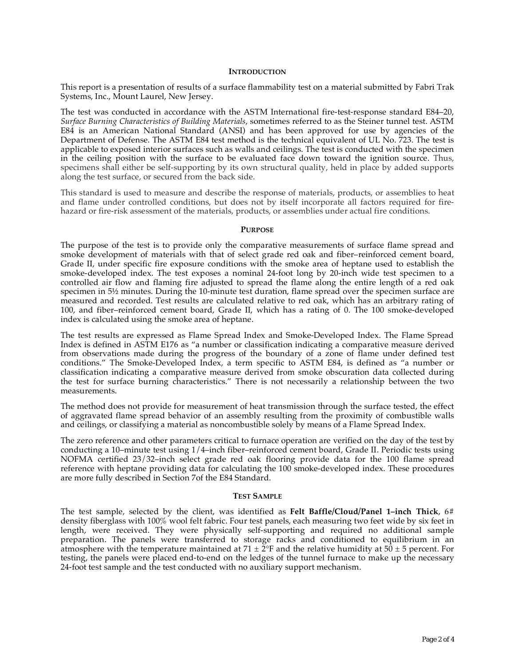#### **INTRODUCTION**

This report is a presentation of results of a surface flammability test on a material submitted by Fabri Trak Systems, Inc., Mount Laurel, New Jersey.

The test was conducted in accordance with the ASTM International fire-test-response standard E84–20, *Surface Burning Characteristics of Building Materials*, sometimes referred to as the Steiner tunnel test. ASTM E84 is an American National Standard (ANSI) and has been approved for use by agencies of the Department of Defense. The ASTM E84 test method is the technical equivalent of UL No. 723. The test is applicable to exposed interior surfaces such as walls and ceilings. The test is conducted with the specimen in the ceiling position with the surface to be evaluated face down toward the ignition source. Thus, specimens shall either be self-supporting by its own structural quality, held in place by added supports along the test surface, or secured from the back side.

This standard is used to measure and describe the response of materials, products, or assemblies to heat and flame under controlled conditions, but does not by itself incorporate all factors required for firehazard or fire-risk assessment of the materials, products, or assemblies under actual fire conditions.

#### **PURPOSE**

The purpose of the test is to provide only the comparative measurements of surface flame spread and smoke development of materials with that of select grade red oak and fiber–reinforced cement board, Grade II, under specific fire exposure conditions with the smoke area of heptane used to establish the smoke-developed index. The test exposes a nominal 24-foot long by 20-inch wide test specimen to a controlled air flow and flaming fire adjusted to spread the flame along the entire length of a red oak specimen in  $5\frac{1}{2}$  minutes. During the 10-minute test duration, flame spread over the specimen surface are measured and recorded. Test results are calculated relative to red oak, which has an arbitrary rating of 100, and fiber–reinforced cement board, Grade II, which has a rating of 0. The 100 smoke-developed index is calculated using the smoke area of heptane.

The test results are expressed as Flame Spread Index and Smoke-Developed Index. The Flame Spread Index is defined in ASTM E176 as "a number or classification indicating a comparative measure derived from observations made during the progress of the boundary of a zone of flame under defined test conditions." The Smoke-Developed Index, a term specific to ASTM E84, is defined as "a number or classification indicating a comparative measure derived from smoke obscuration data collected during the test for surface burning characteristics." There is not necessarily a relationship between the two measurements.

The method does not provide for measurement of heat transmission through the surface tested, the effect of aggravated flame spread behavior of an assembly resulting from the proximity of combustible walls and ceilings, or classifying a material as noncombustible solely by means of a Flame Spread Index.

The zero reference and other parameters critical to furnace operation are verified on the day of the test by conducting a 10–minute test using 1/4–inch fiber–reinforced cement board, Grade II. Periodic tests using NOFMA certified 23/32–inch select grade red oak flooring provide data for the 100 flame spread reference with heptane providing data for calculating the 100 smoke-developed index. These procedures are more fully described in Section 7of the E84 Standard.

#### **TEST SAMPLE**

The test sample, selected by the client, was identified as **Felt Baffle/Cloud/Panel 1–inch Thick**, 6# density fiberglass with 100% wool felt fabric. Four test panels, each measuring two feet wide by six feet in length, were received. They were physically self-supporting and required no additional sample preparation. The panels were transferred to storage racks and conditioned to equilibrium in an atmosphere with the temperature maintained at  $71 \pm 2$ °F and the relative humidity at  $50 \pm 5$  percent. For testing, the panels were placed end-to-end on the ledges of the tunnel furnace to make up the necessary 24-foot test sample and the test conducted with no auxiliary support mechanism.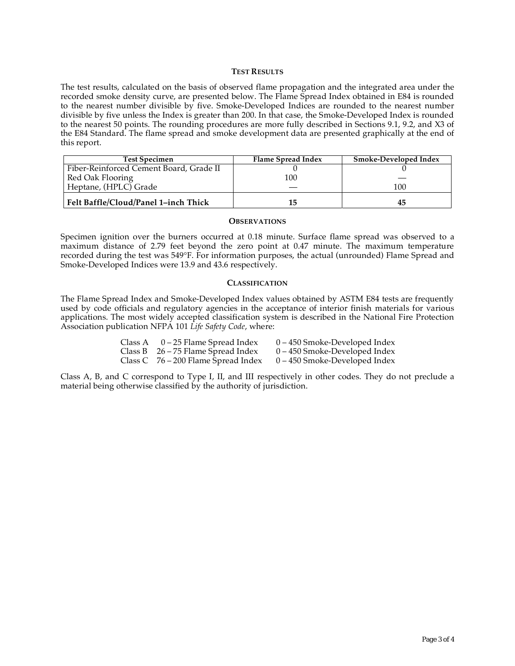#### **TEST RESULTS**

The test results, calculated on the basis of observed flame propagation and the integrated area under the recorded smoke density curve, are presented below. The Flame Spread Index obtained in E84 is rounded to the nearest number divisible by five. Smoke-Developed Indices are rounded to the nearest number divisible by five unless the Index is greater than 200. In that case, the Smoke-Developed Index is rounded to the nearest 50 points. The rounding procedures are more fully described in Sections 9.1, 9.2, and X3 of the E84 Standard. The flame spread and smoke development data are presented graphically at the end of this report.

| <b>Test Specimen</b>                    | Flame Spread Index | <b>Smoke-Developed Index</b> |
|-----------------------------------------|--------------------|------------------------------|
| Fiber-Reinforced Cement Board, Grade II |                    |                              |
| Red Oak Flooring                        | 100                |                              |
| Heptane, (HPLC) Grade                   |                    | 100                          |
| Felt Baffle/Cloud/Panel 1-inch Thick    | 15                 |                              |

#### **OBSERVATIONS**

Specimen ignition over the burners occurred at 0.18 minute. Surface flame spread was observed to a maximum distance of 2.79 feet beyond the zero point at 0.47 minute. The maximum temperature recorded during the test was 549°F. For information purposes, the actual (unrounded) Flame Spread and Smoke-Developed Indices were 13.9 and 43.6 respectively.

#### **CLASSIFICATION**

The Flame Spread Index and Smoke-Developed Index values obtained by ASTM E84 tests are frequently used by code officials and regulatory agencies in the acceptance of interior finish materials for various applications. The most widely accepted classification system is described in the National Fire Protection Association publication NFPA 101 *Life Safety Code*, where:

| Class A $0-25$ Flame Spread Index     | $0 - 450$ Smoke-Developed Index |
|---------------------------------------|---------------------------------|
| Class B $26 - 75$ Flame Spread Index  | $0 - 450$ Smoke-Developed Index |
| Class C $76 - 200$ Flame Spread Index | $0 - 450$ Smoke-Developed Index |

Class A, B, and C correspond to Type I, II, and III respectively in other codes. They do not preclude a material being otherwise classified by the authority of jurisdiction.